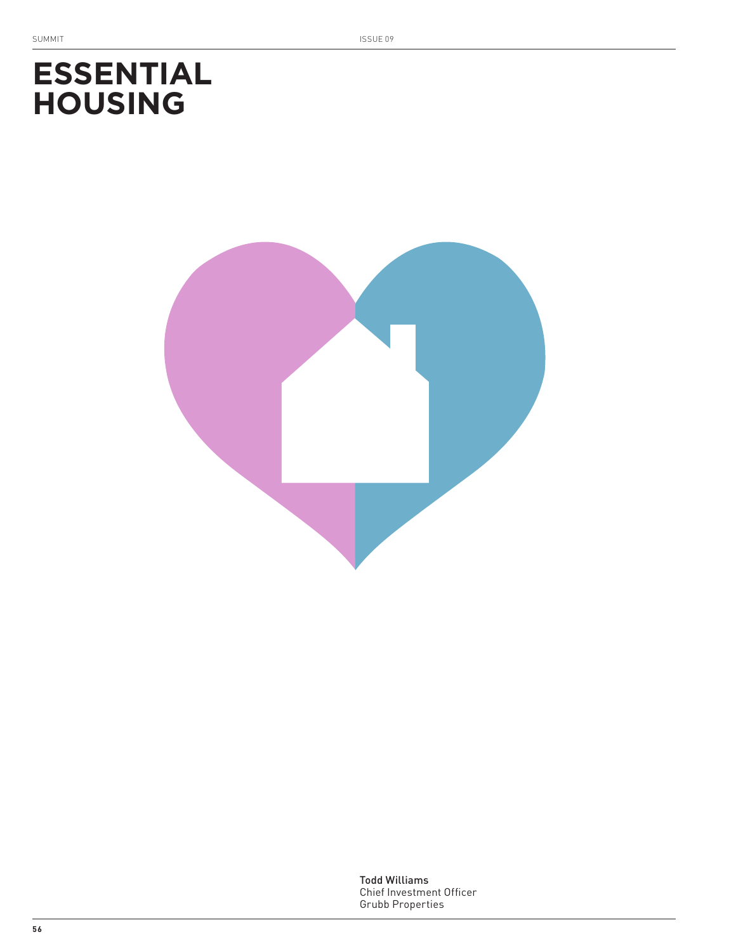# **ESSENTIAL HOUSING**



Todd Williams Chief Investment Officer Grubb Properties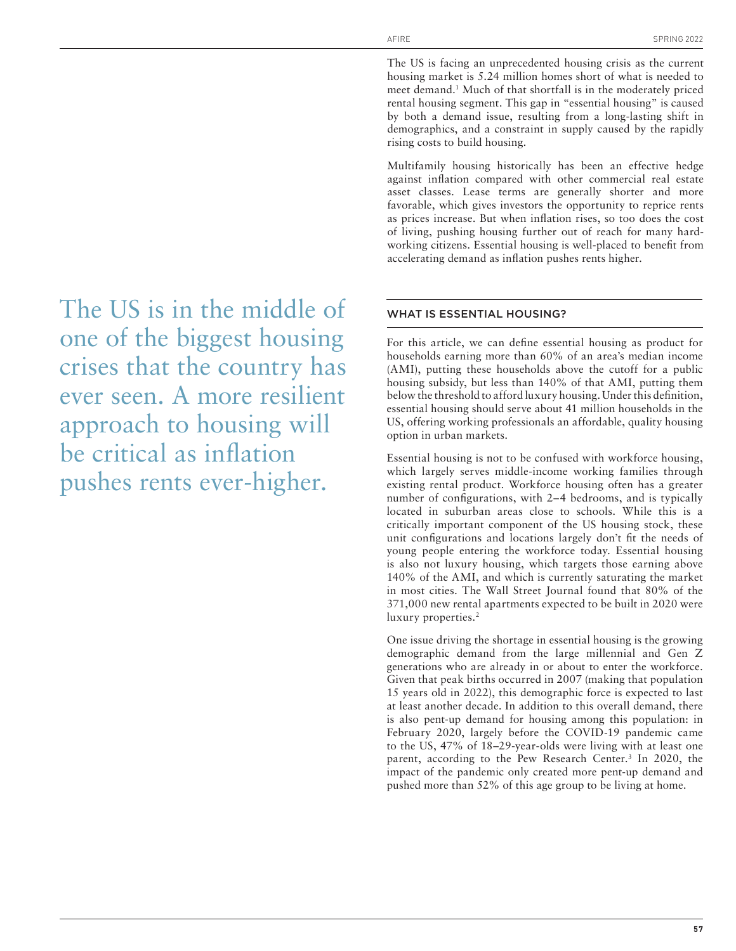The US is facing an unprecedented housing crisis as the current housing market is 5.24 million homes short of what is needed to meet demand.<sup>1</sup> Much of that shortfall is in the moderately priced rental housing segment. This gap in "essential housing" is caused by both a demand issue, resulting from a long-lasting shift in demographics, and a constraint in supply caused by the rapidly rising costs to build housing.

Multifamily housing historically has been an effective hedge against inflation compared with other commercial real estate asset classes. Lease terms are generally shorter and more favorable, which gives investors the opportunity to reprice rents as prices increase. But when inflation rises, so too does the cost of living, pushing housing further out of reach for many hardworking citizens. Essential housing is well-placed to benefit from accelerating demand as inflation pushes rents higher.

## WHAT IS ESSENTIAL HOUSING?

For this article, we can define essential housing as product for households earning more than 60% of an area's median income (AMI), putting these households above the cutoff for a public housing subsidy, but less than 140% of that AMI, putting them below the threshold to afford luxury housing. Under this definition, essential housing should serve about 41 million households in the US, offering working professionals an affordable, quality housing option in urban markets.

Essential housing is not to be confused with workforce housing, which largely serves middle-income working families through existing rental product. Workforce housing often has a greater number of configurations, with 2–4 bedrooms, and is typically located in suburban areas close to schools. While this is a critically important component of the US housing stock, these unit configurations and locations largely don't fit the needs of young people entering the workforce today. Essential housing is also not luxury housing, which targets those earning above 140% of the AMI, and which is currently saturating the market in most cities. The Wall Street Journal found that 80% of the 371,000 new rental apartments expected to be built in 2020 were luxury properties.<sup>2</sup>

One issue driving the shortage in essential housing is the growing demographic demand from the large millennial and Gen Z generations who are already in or about to enter the workforce. Given that peak births occurred in 2007 (making that population 15 years old in 2022), this demographic force is expected to last at least another decade. In addition to this overall demand, there is also pent-up demand for housing among this population: in February 2020, largely before the COVID-19 pandemic came to the US, 47% of 18–29-year-olds were living with at least one parent, according to the Pew Research Center.<sup>3</sup> In 2020, the impact of the pandemic only created more pent-up demand and pushed more than 52% of this age group to be living at home.

The US is in the middle of one of the biggest housing crises that the country has ever seen. A more resilient approach to housing will be critical as inflation pushes rents ever-higher.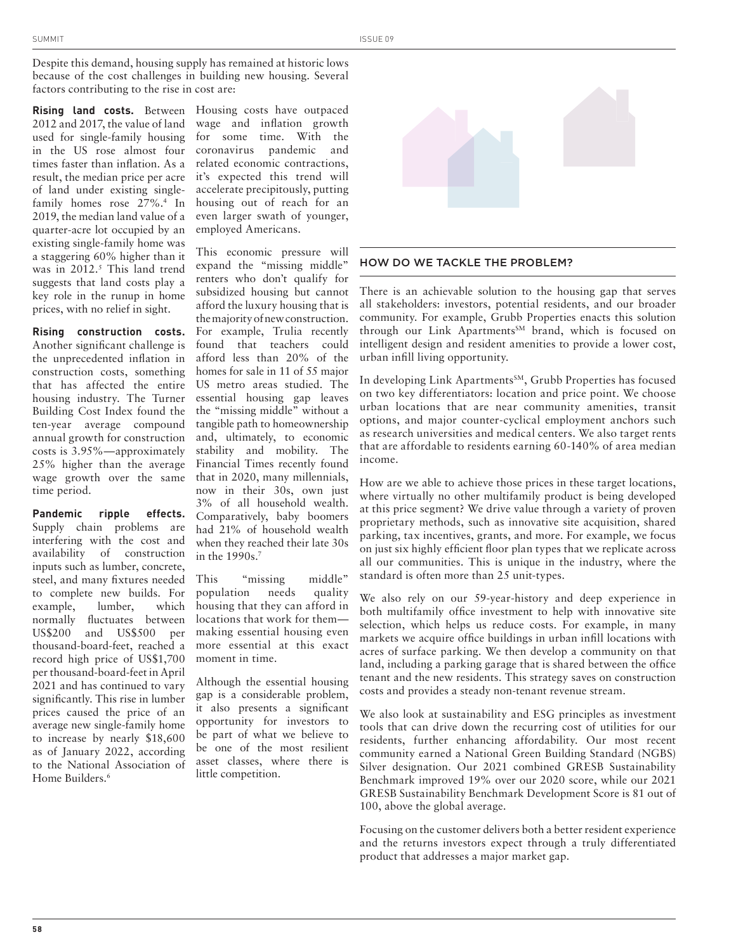Despite this demand, housing supply has remained at historic lows because of the cost challenges in building new housing. Several factors contributing to the rise in cost are:

**Rising land costs.** Between 2012 and 2017, the value of land used for single-family housing in the US rose almost four times faster than inflation. As a result, the median price per acre of land under existing singlefamily homes rose 27%.4 In 2019, the median land value of a quarter-acre lot occupied by an existing single-family home was a staggering 60% higher than it was in 2012.<sup>5</sup> This land trend suggests that land costs play a key role in the runup in home prices, with no relief in sight.

**Rising construction costs.** Another significant challenge is the unprecedented inflation in construction costs, something that has affected the entire housing industry. The Turner Building Cost Index found the ten-year average compound annual growth for construction costs is 3.95%—approximately 25% higher than the average wage growth over the same time period.

**Pandemic ripple effects.** Supply chain problems are interfering with the cost and availability of construction inputs such as lumber, concrete, steel, and many fixtures needed to complete new builds. For example, lumber, which normally fluctuates between US\$200 and US\$500 per thousand-board-feet, reached a record high price of US\$1,700 per thousand-board-feet in April 2021 and has continued to vary significantly. This rise in lumber prices caused the price of an average new single-family home to increase by nearly \$18,600 as of January 2022, according to the National Association of Home Builders.6

Housing costs have outpaced wage and inflation growth for some time. With the coronavirus pandemic and related economic contractions, it's expected this trend will accelerate precipitously, putting housing out of reach for an even larger swath of younger, employed Americans.

This economic pressure will expand the "missing middle" renters who don't qualify for subsidized housing but cannot afford the luxury housing that is the majority of new construction. For example, Trulia recently found that teachers could afford less than 20% of the homes for sale in 11 of 55 major US metro areas studied. The essential housing gap leaves the "missing middle" without a tangible path to homeownership and, ultimately, to economic stability and mobility. The Financial Times recently found that in 2020, many millennials, now in their 30s, own just 3% of all household wealth. Comparatively, baby boomers had 21% of household wealth when they reached their late 30s in the 1990s.7

This "missing middle" population needs quality housing that they can afford in locations that work for them making essential housing even more essential at this exact moment in time.

Although the essential housing gap is a considerable problem, it also presents a significant opportunity for investors to be part of what we believe to be one of the most resilient asset classes, where there is little competition.



### HOW DO WE TACKLE THE PROBLEM?

There is an achievable solution to the housing gap that serves all stakeholders: investors, potential residents, and our broader community. For example, Grubb Properties enacts this solution through our Link Apartments<sup>SM</sup> brand, which is focused on intelligent design and resident amenities to provide a lower cost, urban infill living opportunity.

In developing Link Apartments<sup>SM</sup>, Grubb Properties has focused on two key differentiators: location and price point. We choose urban locations that are near community amenities, transit options, and major counter-cyclical employment anchors such as research universities and medical centers. We also target rents that are affordable to residents earning 60-140% of area median income.

How are we able to achieve those prices in these target locations, where virtually no other multifamily product is being developed at this price segment? We drive value through a variety of proven proprietary methods, such as innovative site acquisition, shared parking, tax incentives, grants, and more. For example, we focus on just six highly efficient floor plan types that we replicate across all our communities. This is unique in the industry, where the standard is often more than 25 unit-types.

We also rely on our 59-year-history and deep experience in both multifamily office investment to help with innovative site selection, which helps us reduce costs. For example, in many markets we acquire office buildings in urban infill locations with acres of surface parking. We then develop a community on that land, including a parking garage that is shared between the office tenant and the new residents. This strategy saves on construction costs and provides a steady non-tenant revenue stream.

We also look at sustainability and ESG principles as investment tools that can drive down the recurring cost of utilities for our residents, further enhancing affordability. Our most recent community earned a National Green Building Standard (NGBS) Silver designation. Our 2021 combined GRESB Sustainability Benchmark improved 19% over our 2020 score, while our 2021 GRESB Sustainability Benchmark Development Score is 81 out of 100, above the global average.

Focusing on the customer delivers both a better resident experience and the returns investors expect through a truly differentiated product that addresses a major market gap.